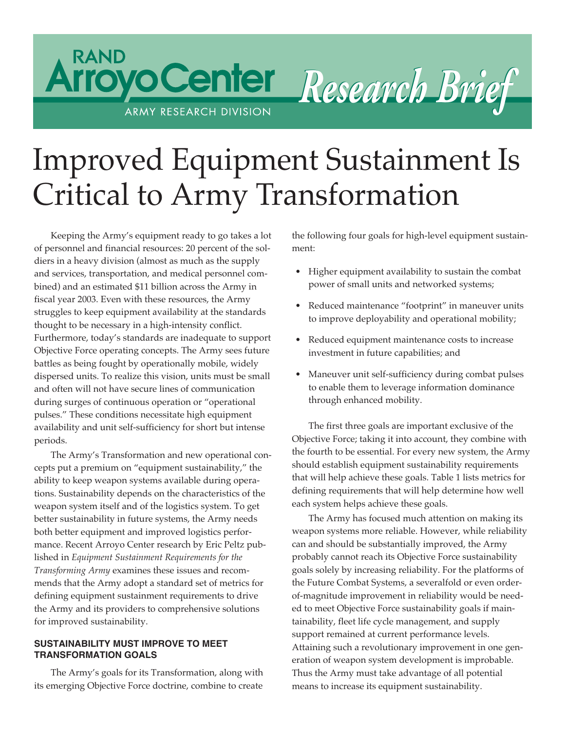# Improved Equipment Sustainment Is Critical to Army Transformation

*Research B Research Brief*

Keeping the Army's equipment ready to go takes a lot of personnel and financial resources: 20 percent of the soldiers in a heavy division (almost as much as the supply and services, transportation, and medical personnel combined) and an estimated \$11 billion across the Army in fiscal year 2003. Even with these resources, the Army struggles to keep equipment availability at the standards thought to be necessary in a high-intensity conflict. Furthermore, today's standards are inadequate to support Objective Force operating concepts. The Army sees future battles as being fought by operationally mobile, widely dispersed units. To realize this vision, units must be small and often will not have secure lines of communication during surges of continuous operation or "operational pulses." These conditions necessitate high equipment availability and unit self-sufficiency for short but intense periods.

ARMY RESEARCH DIVISION

**RAND** 

The Army's Transformation and new operational concepts put a premium on "equipment sustainability," the ability to keep weapon systems available during operations. Sustainability depends on the characteristics of the weapon system itself and of the logistics system. To get better sustainability in future systems, the Army needs both better equipment and improved logistics performance. Recent Arroyo Center research by Eric Peltz published in *Equipment Sustainment Requirements for the Transforming Army* examines these issues and recommends that the Army adopt a standard set of metrics for defining equipment sustainment requirements to drive the Army and its providers to comprehensive solutions for improved sustainability.

# **SUSTAINABILITY MUST IMPROVE TO MEET TRANSFORMATION GOALS**

The Army's goals for its Transformation, along with its emerging Objective Force doctrine, combine to create

the following four goals for high-level equipment sustainment:

- Higher equipment availability to sustain the combat power of small units and networked systems;
- Reduced maintenance "footprint" in maneuver units to improve deployability and operational mobility;
- Reduced equipment maintenance costs to increase investment in future capabilities; and
- Maneuver unit self-sufficiency during combat pulses to enable them to leverage information dominance through enhanced mobility.

The first three goals are important exclusive of the Objective Force; taking it into account, they combine with the fourth to be essential. For every new system, the Army should establish equipment sustainability requirements that will help achieve these goals. Table 1 lists metrics for defining requirements that will help determine how well each system helps achieve these goals.

The Army has focused much attention on making its weapon systems more reliable. However, while reliability can and should be substantially improved, the Army probably cannot reach its Objective Force sustainability goals solely by increasing reliability. For the platforms of the Future Combat Systems, a severalfold or even orderof-magnitude improvement in reliability would be needed to meet Objective Force sustainability goals if maintainability, fleet life cycle management, and supply support remained at current performance levels. Attaining such a revolutionary improvement in one generation of weapon system development is improbable. Thus the Army must take advantage of all potential means to increase its equipment sustainability.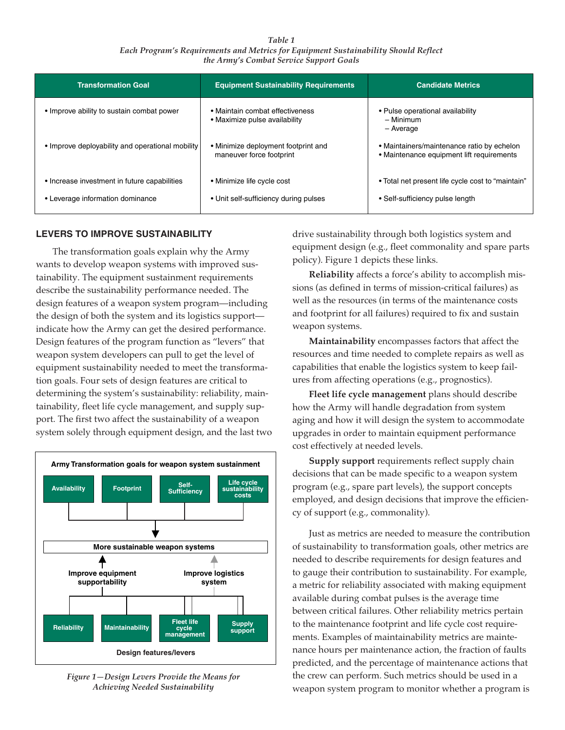*Table 1 Each Program's Requirements and Metrics for Equipment Sustainability Should Reflect the Army's Combat Service Support Goals* 

| <b>Transformation Goal</b>                       | <b>Equipment Sustainability Requirements</b>                     | <b>Candidate Metrics</b>                                                                |
|--------------------------------------------------|------------------------------------------------------------------|-----------------------------------------------------------------------------------------|
| • Improve ability to sustain combat power        | • Maintain combat effectiveness<br>• Maximize pulse availability | • Pulse operational availability<br>- Minimum<br>- Average                              |
| • Improve deployability and operational mobility | • Minimize deployment footprint and<br>maneuver force footprint  | • Maintainers/maintenance ratio by echelon<br>• Maintenance equipment lift requirements |
| • Increase investment in future capabilities     | • Minimize life cycle cost                                       | • Total net present life cycle cost to "maintain"                                       |
| • Leverage information dominance                 | • Unit self-sufficiency during pulses                            | • Self-sufficiency pulse length                                                         |

## **LEVERS TO IMPROVE SUSTAINABILITY**

The transformation goals explain why the Army wants to develop weapon systems with improved sustainability. The equipment sustainment requirements describe the sustainability performance needed. The design features of a weapon system program—including the design of both the system and its logistics support indicate how the Army can get the desired performance. Design features of the program function as "levers" that weapon system developers can pull to get the level of equipment sustainability needed to meet the transformation goals. Four sets of design features are critical to determining the system's sustainability: reliability, maintainability, fleet life cycle management, and supply support. The first two affect the sustainability of a weapon system solely through equipment design, and the last two



*Figure 1—Design Levers Provide the Means for Achieving Needed Sustainability* 

drive sustainability through both logistics system and equipment design (e.g., fleet commonality and spare parts policy). Figure 1 depicts these links.

**Reliability** affects a force's ability to accomplish missions (as defined in terms of mission-critical failures) as well as the resources (in terms of the maintenance costs and footprint for all failures) required to fix and sustain weapon systems.

**Maintainability** encompasses factors that affect the resources and time needed to complete repairs as well as capabilities that enable the logistics system to keep failures from affecting operations (e.g., prognostics).

**Fleet life cycle management** plans should describe how the Army will handle degradation from system aging and how it will design the system to accommodate upgrades in order to maintain equipment performance cost effectively at needed levels.

**Supply support** requirements reflect supply chain decisions that can be made specific to a weapon system program (e.g., spare part levels), the support concepts employed, and design decisions that improve the efficiency of support (e.g., commonality).

Just as metrics are needed to measure the contribution of sustainability to transformation goals, other metrics are needed to describe requirements for design features and to gauge their contribution to sustainability. For example, a metric for reliability associated with making equipment available during combat pulses is the average time between critical failures. Other reliability metrics pertain to the maintenance footprint and life cycle cost requirements. Examples of maintainability metrics are maintenance hours per maintenance action, the fraction of faults predicted, and the percentage of maintenance actions that the crew can perform. Such metrics should be used in a weapon system program to monitor whether a program is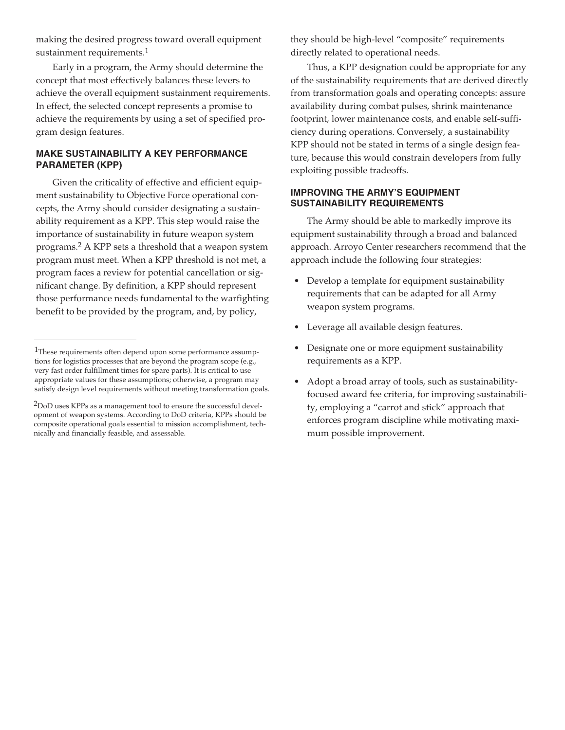making the desired progress toward overall equipment sustainment requirements.<sup>1</sup>

Early in a program, the Army should determine the concept that most effectively balances these levers to achieve the overall equipment sustainment requirements. In effect, the selected concept represents a promise to achieve the requirements by using a set of specified program design features.

## **MAKE SUSTAINABILITY A KEY PERFORMANCE PARAMETER (KPP)**

Given the criticality of effective and efficient equipment sustainability to Objective Force operational concepts, the Army should consider designating a sustainability requirement as a KPP. This step would raise the importance of sustainability in future weapon system programs.2 A KPP sets a threshold that a weapon system program must meet. When a KPP threshold is not met, a program faces a review for potential cancellation or significant change. By definition, a KPP should represent those performance needs fundamental to the warfighting benefit to be provided by the program, and, by policy,

they should be high-level "composite" requirements directly related to operational needs.

Thus, a KPP designation could be appropriate for any of the sustainability requirements that are derived directly from transformation goals and operating concepts: assure availability during combat pulses, shrink maintenance footprint, lower maintenance costs, and enable self-sufficiency during operations. Conversely, a sustainability KPP should not be stated in terms of a single design feature, because this would constrain developers from fully exploiting possible tradeoffs.

#### **IMPROVING THE ARMY'S EQUIPMENT SUSTAINABILITY REQUIREMENTS**

The Army should be able to markedly improve its equipment sustainability through a broad and balanced approach. Arroyo Center researchers recommend that the approach include the following four strategies:

- Develop a template for equipment sustainability requirements that can be adapted for all Army weapon system programs.
- Leverage all available design features.
- Designate one or more equipment sustainability requirements as a KPP.
- Adopt a broad array of tools, such as sustainabilityfocused award fee criteria, for improving sustainability, employing a "carrot and stick" approach that enforces program discipline while motivating maximum possible improvement.

<sup>&</sup>lt;sup>1</sup>These requirements often depend upon some performance assumptions for logistics processes that are beyond the program scope (e.g., very fast order fulfillment times for spare parts). It is critical to use appropriate values for these assumptions; otherwise, a program may satisfy design level requirements without meeting transformation goals.

<sup>&</sup>lt;sup>2</sup>DoD uses KPPs as a management tool to ensure the successful development of weapon systems. According to DoD criteria, KPPs should be composite operational goals essential to mission accomplishment, technically and financially feasible, and assessable.